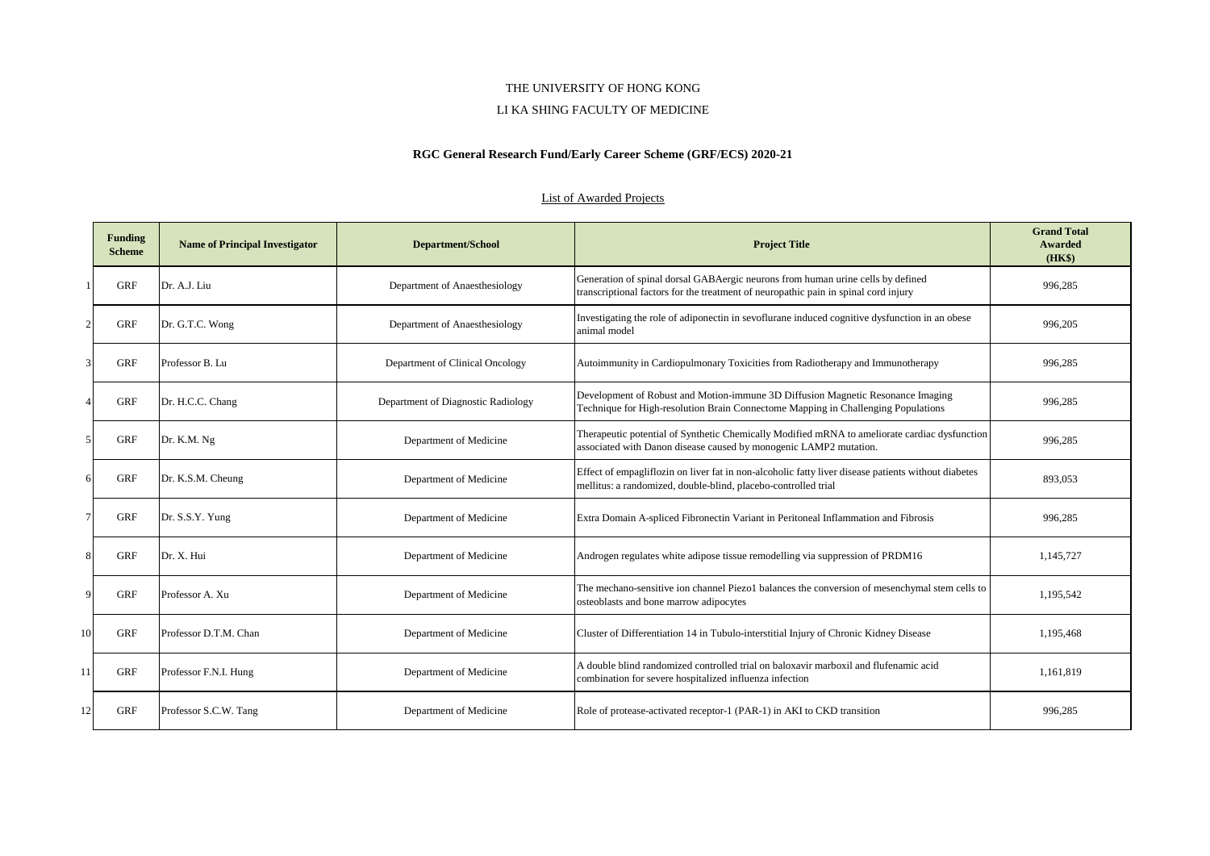#### LI KA SHING FACULTY OF MEDICINE

# **RGC General Research Fund/Early Career Scheme (GRF/ECS) 2020-21**

| Funding<br><b>Scheme</b> | <b>Name of Principal Investigator</b> | <b>Department/School</b>           | <b>Project Title</b>                                                                                                                                                   | <b>Grand Total</b><br>Awarded<br>(HK\$) |
|--------------------------|---------------------------------------|------------------------------------|------------------------------------------------------------------------------------------------------------------------------------------------------------------------|-----------------------------------------|
| <b>GRF</b>               | Dr. A.J. Liu                          | Department of Anaesthesiology      | Generation of spinal dorsal GABAergic neurons from human urine cells by defined<br>transcriptional factors for the treatment of neuropathic pain in spinal cord injury | 996,285                                 |
| GRF                      | Dr. G.T.C. Wong                       | Department of Anaesthesiology      | Investigating the role of adiponectin in sevoflurane induced cognitive dysfunction in an obese<br>animal model                                                         | 996,205                                 |
| <b>GRF</b>               | Professor B. Lu                       | Department of Clinical Oncology    | Autoimmunity in Cardiopulmonary Toxicities from Radiotherapy and Immunotherapy                                                                                         | 996,285                                 |
| <b>GRF</b>               | Dr. H.C.C. Chang                      | Department of Diagnostic Radiology | Development of Robust and Motion-immune 3D Diffusion Magnetic Resonance Imaging<br>Technique for High-resolution Brain Connectome Mapping in Challenging Populations   | 996,285                                 |
| <b>GRF</b>               | Dr. K.M. Ng                           | Department of Medicine             | Therapeutic potential of Synthetic Chemically Modified mRNA to ameliorate cardiac dysfunction<br>associated with Danon disease caused by monogenic LAMP2 mutation.     | 996,285                                 |
| <b>GRF</b>               | Dr. K.S.M. Cheung                     | Department of Medicine             | Effect of empagliflozin on liver fat in non-alcoholic fatty liver disease patients without diabetes<br>mellitus: a randomized, double-blind, placebo-controlled trial  | 893,053                                 |
| <b>GRF</b>               | Dr. S.S.Y. Yung                       | Department of Medicine             | Extra Domain A-spliced Fibronectin Variant in Peritoneal Inflammation and Fibrosis                                                                                     | 996,285                                 |
| GRF                      | Dr. X. Hui                            | Department of Medicine             | Androgen regulates white adipose tissue remodelling via suppression of PRDM16                                                                                          | 1,145,727                               |
| <b>GRF</b>               | Professor A. Xu                       | Department of Medicine             | The mechano-sensitive ion channel Piezo1 balances the conversion of mesenchymal stem cells to<br>osteoblasts and bone marrow adipocytes                                | 1,195,542                               |
| <b>GRF</b>               | Professor D.T.M. Chan                 | Department of Medicine             | Cluster of Differentiation 14 in Tubulo-interstitial Injury of Chronic Kidney Disease                                                                                  | 1,195,468                               |
| <b>GRF</b>               | Professor F.N.I. Hung                 | Department of Medicine             | A double blind randomized controlled trial on baloxavir marboxil and flufenamic acid<br>combination for severe hospitalized influenza infection                        | 1,161,819                               |
| <b>GRF</b>               | Professor S.C.W. Tang                 | Department of Medicine             | Role of protease-activated receptor-1 (PAR-1) in AKI to CKD transition                                                                                                 | 996,285                                 |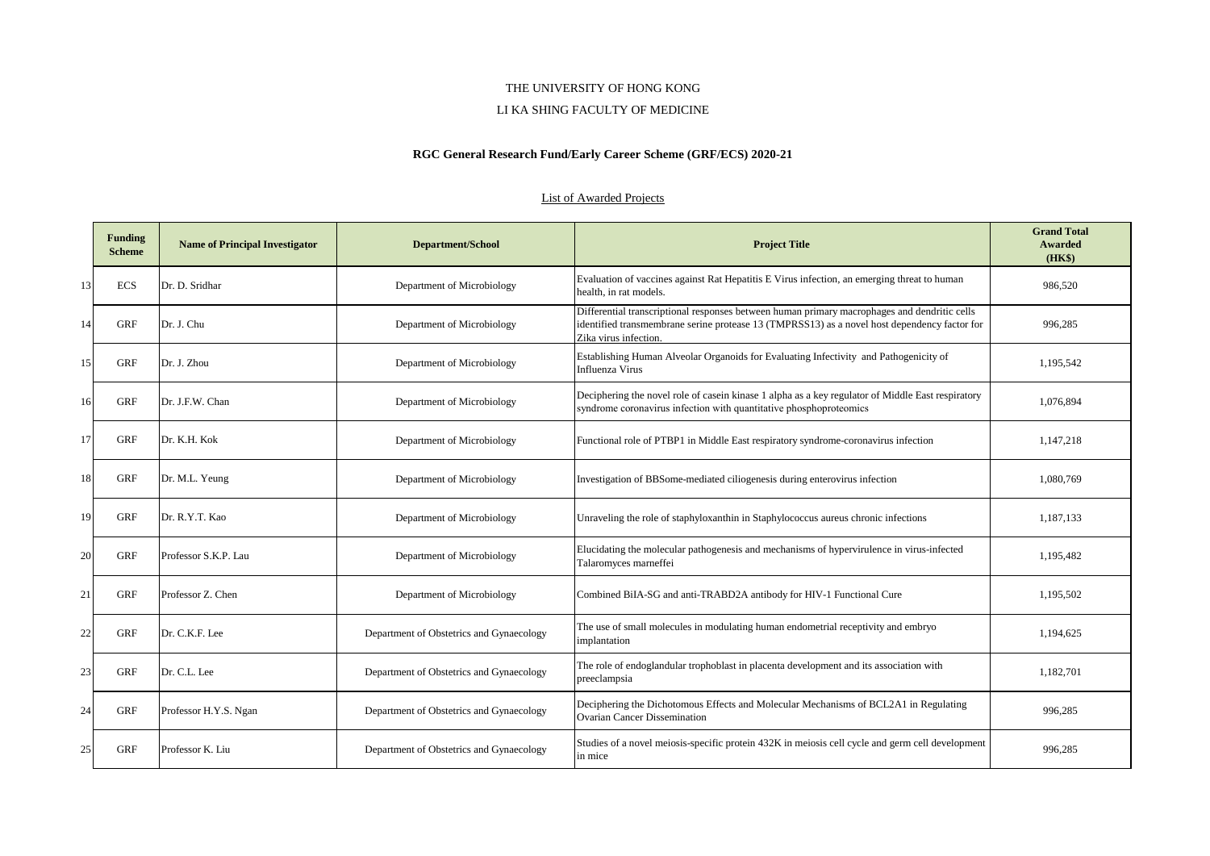#### LI KA SHING FACULTY OF MEDICINE

# **RGC General Research Fund/Early Career Scheme (GRF/ECS) 2020-21**

|    | <b>Funding</b><br><b>Scheme</b> | <b>Name of Principal Investigator</b> | <b>Department/School</b>                 | <b>Project Title</b>                                                                                                                                                                                                  | <b>Grand Total</b><br>Awarded<br>(HK\$) |
|----|---------------------------------|---------------------------------------|------------------------------------------|-----------------------------------------------------------------------------------------------------------------------------------------------------------------------------------------------------------------------|-----------------------------------------|
| 13 | <b>ECS</b>                      | Dr. D. Sridhar                        | Department of Microbiology               | Evaluation of vaccines against Rat Hepatitis E Virus infection, an emerging threat to human<br>health, in rat models.                                                                                                 | 986.520                                 |
| 14 | <b>GRF</b>                      | Dr. J. Chu                            | Department of Microbiology               | Differential transcriptional responses between human primary macrophages and dendritic cells<br>identified transmembrane serine protease 13 (TMPRSS13) as a novel host dependency factor for<br>Zika virus infection. | 996,285                                 |
| 15 | <b>GRF</b>                      | Dr. J. Zhou                           | Department of Microbiology               | Establishing Human Alveolar Organoids for Evaluating Infectivity and Pathogenicity of<br><b>Influenza Virus</b>                                                                                                       | 1,195,542                               |
| 16 | <b>GRF</b>                      | Dr. J.F.W. Chan                       | Department of Microbiology               | Deciphering the novel role of casein kinase 1 alpha as a key regulator of Middle East respiratory<br>syndrome coronavirus infection with quantitative phosphoproteomics                                               | 1,076,894                               |
| 17 | <b>GRF</b>                      | Dr. K.H. Kok                          | Department of Microbiology               | Functional role of PTBP1 in Middle East respiratory syndrome-coronavirus infection                                                                                                                                    | 1,147,218                               |
| 18 | <b>GRF</b>                      | Dr. M.L. Yeung                        | Department of Microbiology               | Investigation of BBSome-mediated ciliogenesis during enterovirus infection                                                                                                                                            | 1,080,769                               |
| 19 | <b>GRF</b>                      | Dr. R.Y.T. Kao                        | Department of Microbiology               | Unraveling the role of staphyloxanthin in Staphylococcus aureus chronic infections                                                                                                                                    | 1.187.133                               |
| 20 | <b>GRF</b>                      | Professor S.K.P. Lau                  | Department of Microbiology               | Elucidating the molecular pathogenesis and mechanisms of hypervirulence in virus-infected<br>Talaromyces marneffei                                                                                                    | 1,195,482                               |
| 21 | <b>GRF</b>                      | Professor Z. Chen                     | Department of Microbiology               | Combined BiIA-SG and anti-TRABD2A antibody for HIV-1 Functional Cure                                                                                                                                                  | 1,195,502                               |
| 22 | GRF                             | Dr. C.K.F. Lee                        | Department of Obstetrics and Gynaecology | The use of small molecules in modulating human endometrial receptivity and embryo<br>implantation                                                                                                                     | 1,194,625                               |
| 23 | <b>GRF</b>                      | Dr. C.L. Lee                          | Department of Obstetrics and Gynaecology | The role of endoglandular trophoblast in placenta development and its association with<br>preeclampsia                                                                                                                | 1,182,701                               |
| 24 | GRF                             | Professor H.Y.S. Ngan                 | Department of Obstetrics and Gynaecology | Deciphering the Dichotomous Effects and Molecular Mechanisms of BCL2A1 in Regulating<br><b>Ovarian Cancer Dissemination</b>                                                                                           | 996.285                                 |
| 25 | <b>GRF</b>                      | Professor K. Liu                      | Department of Obstetrics and Gynaecology | Studies of a novel meiosis-specific protein 432K in meiosis cell cycle and germ cell development<br>in mice                                                                                                           | 996,285                                 |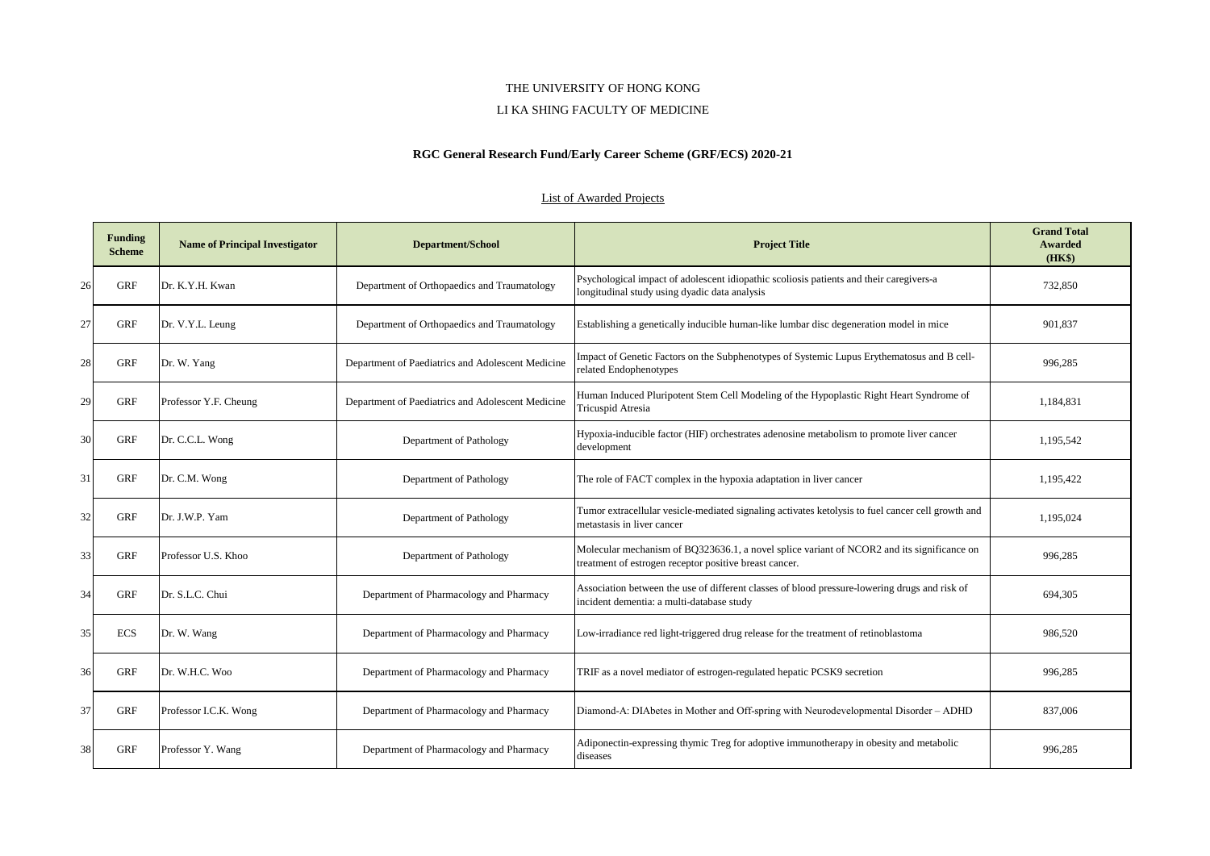#### LI KA SHING FACULTY OF MEDICINE

# **RGC General Research Fund/Early Career Scheme (GRF/ECS) 2020-21**

|    | <b>Funding</b><br><b>Scheme</b> | <b>Name of Principal Investigator</b> | <b>Department/School</b>                          | <b>Project Title</b>                                                                                                                                 | <b>Grand Total</b><br>Awarded<br>(HK\$) |
|----|---------------------------------|---------------------------------------|---------------------------------------------------|------------------------------------------------------------------------------------------------------------------------------------------------------|-----------------------------------------|
| 26 | GRF                             | Dr. K.Y.H. Kwan                       | Department of Orthopaedics and Traumatology       | Psychological impact of adolescent idiopathic scoliosis patients and their caregivers-a<br>longitudinal study using dyadic data analysis             | 732,850                                 |
| 27 | GRF                             | Dr. V.Y.L. Leung                      | Department of Orthopaedics and Traumatology       | Establishing a genetically inducible human-like lumbar disc degeneration model in mice                                                               | 901.837                                 |
| 28 | GRF                             | Dr. W. Yang                           | Department of Paediatrics and Adolescent Medicine | Impact of Genetic Factors on the Subphenotypes of Systemic Lupus Erythematosus and B cell-<br>related Endophenotypes                                 | 996,285                                 |
| 29 | <b>GRF</b>                      | Professor Y.F. Cheung                 | Department of Paediatrics and Adolescent Medicine | Human Induced Pluripotent Stem Cell Modeling of the Hypoplastic Right Heart Syndrome of<br><b>Tricuspid Atresia</b>                                  | 1,184,831                               |
| 30 | <b>GRF</b>                      | Dr. C.C.L. Wong                       | Department of Pathology                           | Hypoxia-inducible factor (HIF) orchestrates adenosine metabolism to promote liver cancer<br>development                                              | 1,195,542                               |
| 31 | GRF                             | Dr. C.M. Wong                         | Department of Pathology                           | The role of FACT complex in the hypoxia adaptation in liver cancer                                                                                   | 1,195,422                               |
| 32 | GRF                             | Dr. J.W.P. Yam                        | Department of Pathology                           | Tumor extracellular vesicle-mediated signaling activates ketolysis to fuel cancer cell growth and<br>metastasis in liver cancer                      | 1,195,024                               |
| 33 | <b>GRF</b>                      | Professor U.S. Khoo                   | Department of Pathology                           | Molecular mechanism of BQ323636.1, a novel splice variant of NCOR2 and its significance on<br>treatment of estrogen receptor positive breast cancer. | 996,285                                 |
| 34 | <b>GRF</b>                      | Dr. S.L.C. Chui                       | Department of Pharmacology and Pharmacy           | Association between the use of different classes of blood pressure-lowering drugs and risk of<br>incident dementia: a multi-database study           | 694,305                                 |
| 35 | <b>ECS</b>                      | Dr. W. Wang                           | Department of Pharmacology and Pharmacy           | Low-irradiance red light-triggered drug release for the treatment of retinoblastoma                                                                  | 986,520                                 |
| 36 | GRF                             | Dr. W.H.C. Woo                        | Department of Pharmacology and Pharmacy           | TRIF as a novel mediator of estrogen-regulated hepatic PCSK9 secretion                                                                               | 996,285                                 |
| 37 | GRF                             | Professor I.C.K. Wong                 | Department of Pharmacology and Pharmacy           | Diamond-A: DIAbetes in Mother and Off-spring with Neurodevelopmental Disorder – ADHD                                                                 | 837,006                                 |
| 38 | GRF                             | Professor Y. Wang                     | Department of Pharmacology and Pharmacy           | Adiponectin-expressing thymic Treg for adoptive immunotherapy in obesity and metabolic<br>diseases                                                   | 996,285                                 |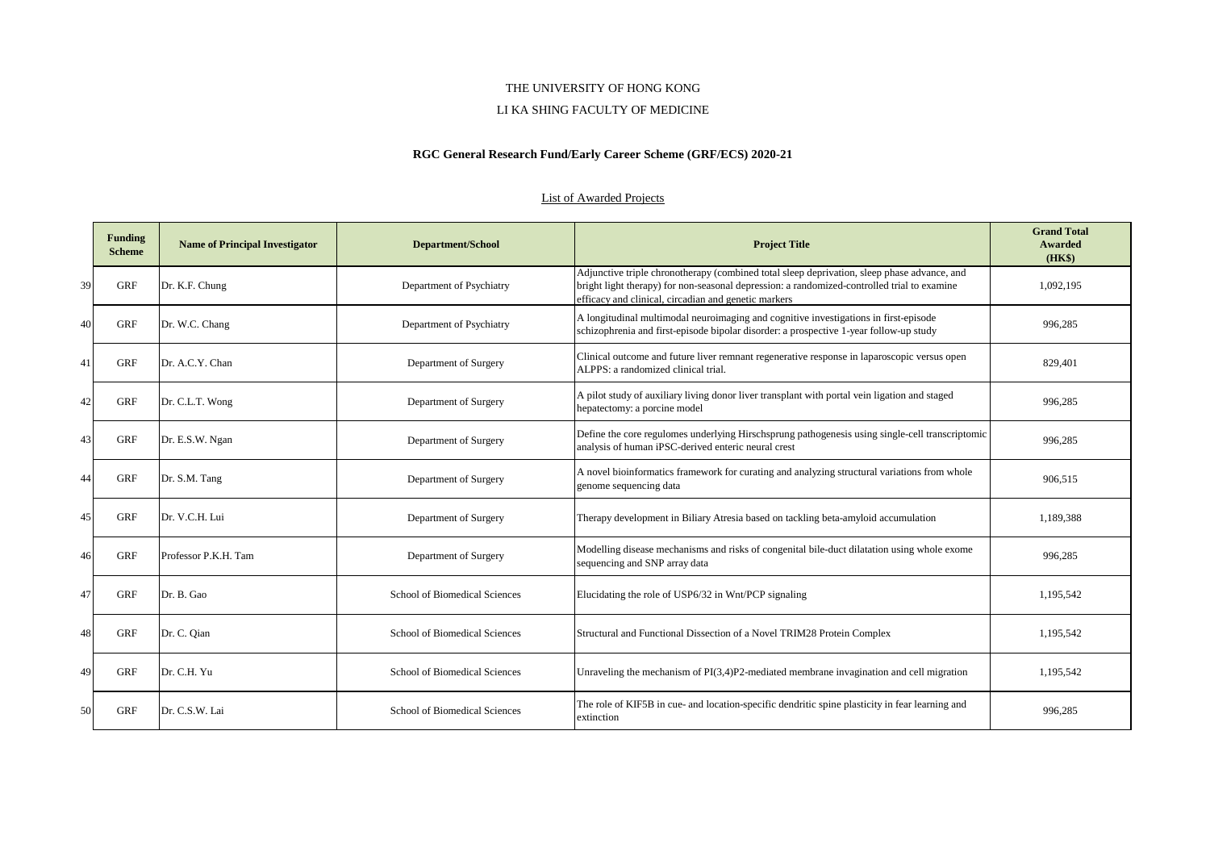#### LI KA SHING FACULTY OF MEDICINE

# **RGC General Research Fund/Early Career Scheme (GRF/ECS) 2020-21**

|    | <b>Funding</b><br><b>Scheme</b> | <b>Name of Principal Investigator</b> | <b>Department/School</b>      | <b>Project Title</b>                                                                                                                                                                                                                               | <b>Grand Total</b><br>Awarded<br>(HK\$) |
|----|---------------------------------|---------------------------------------|-------------------------------|----------------------------------------------------------------------------------------------------------------------------------------------------------------------------------------------------------------------------------------------------|-----------------------------------------|
| 39 | GRF                             | Dr. K.F. Chung                        | Department of Psychiatry      | Adjunctive triple chronotherapy (combined total sleep deprivation, sleep phase advance, and<br>bright light therapy) for non-seasonal depression: a randomized-controlled trial to examine<br>efficacy and clinical, circadian and genetic markers | 1,092,195                               |
| 40 | <b>GRF</b>                      | Dr. W.C. Chang                        | Department of Psychiatry      | A longitudinal multimodal neuroimaging and cognitive investigations in first-episode<br>schizophrenia and first-episode bipolar disorder: a prospective 1-year follow-up study                                                                     | 996,285                                 |
| 41 | <b>GRF</b>                      | Dr. A.C.Y. Chan                       | Department of Surgery         | Clinical outcome and future liver remnant regenerative response in laparoscopic versus open<br>ALPPS: a randomized clinical trial.                                                                                                                 | 829,401                                 |
| 42 | <b>GRF</b>                      | Dr. C.L.T. Wong                       | Department of Surgery         | A pilot study of auxiliary living donor liver transplant with portal vein ligation and staged<br>hepatectomy: a porcine model                                                                                                                      | 996,285                                 |
| 43 | GRF                             | Dr. E.S.W. Ngan                       | Department of Surgery         | Define the core regulomes underlying Hirschsprung pathogenesis using single-cell transcriptomic<br>analysis of human iPSC-derived enteric neural crest                                                                                             | 996,285                                 |
| 44 | <b>GRF</b>                      | Dr. S.M. Tang                         | Department of Surgery         | A novel bioinformatics framework for curating and analyzing structural variations from whole<br>genome sequencing data                                                                                                                             | 906.515                                 |
| 45 | <b>GRF</b>                      | Dr. V.C.H. Lui                        | Department of Surgery         | Therapy development in Biliary Atresia based on tackling beta-amyloid accumulation                                                                                                                                                                 | 1.189.388                               |
| 46 | <b>GRF</b>                      | Professor P.K.H. Tam                  | Department of Surgery         | Modelling disease mechanisms and risks of congenital bile-duct dilatation using whole exome<br>sequencing and SNP array data                                                                                                                       | 996,285                                 |
| 47 | <b>GRF</b>                      | Dr. B. Gao                            | School of Biomedical Sciences | Elucidating the role of USP6/32 in Wnt/PCP signaling                                                                                                                                                                                               | 1,195,542                               |
| 48 | <b>GRF</b>                      | Dr. C. Qian                           | School of Biomedical Sciences | Structural and Functional Dissection of a Novel TRIM28 Protein Complex                                                                                                                                                                             | 1,195,542                               |
| 49 | <b>GRF</b>                      | Dr. C.H. Yu                           | School of Biomedical Sciences | Unraveling the mechanism of $PI(3,4)P2$ -mediated membrane invagination and cell migration                                                                                                                                                         | 1,195,542                               |
| 50 | <b>GRF</b>                      | Dr. C.S.W. Lai                        | School of Biomedical Sciences | The role of KIF5B in cue- and location-specific dendritic spine plasticity in fear learning and<br>extinction                                                                                                                                      | 996,285                                 |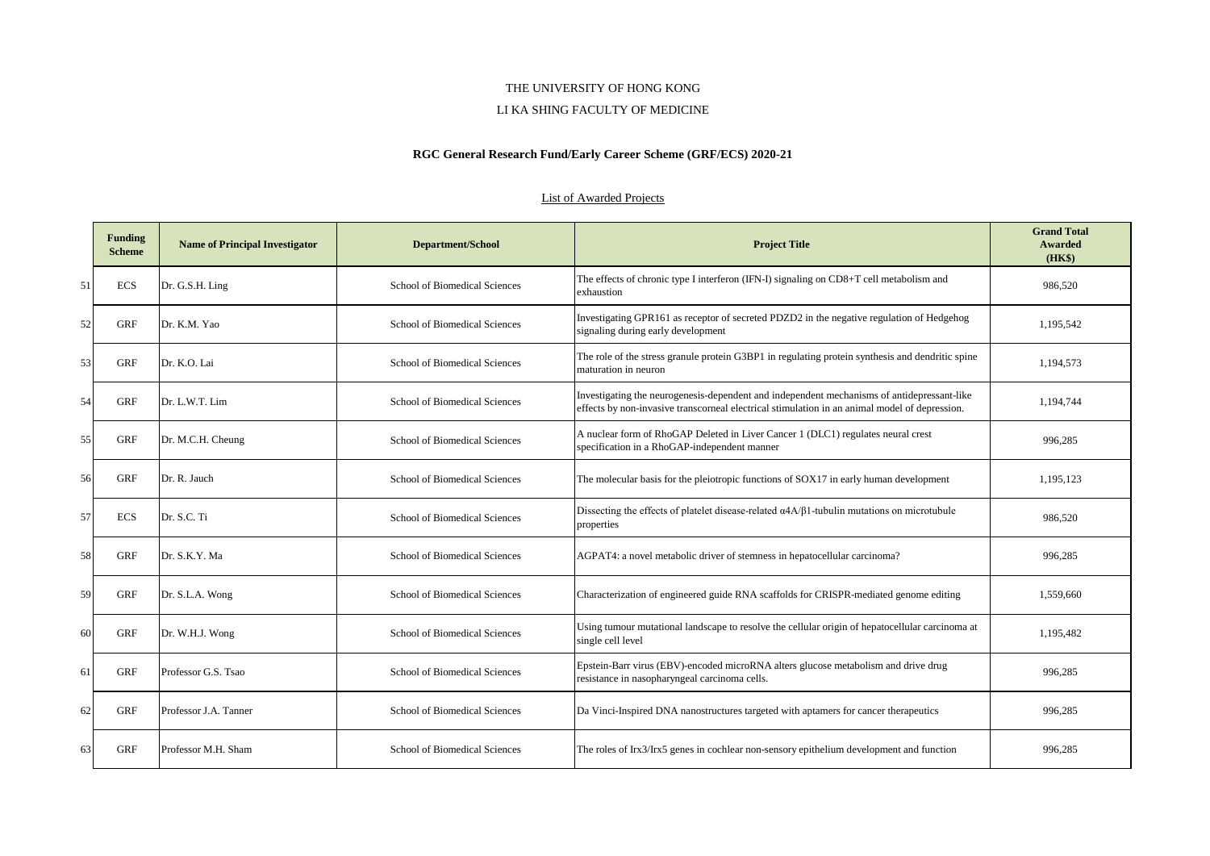#### LI KA SHING FACULTY OF MEDICINE

# **RGC General Research Fund/Early Career Scheme (GRF/ECS) 2020-21**

|    | <b>Funding</b><br><b>Scheme</b> | <b>Name of Principal Investigator</b> | <b>Department/School</b>      | <b>Project Title</b>                                                                                                                                                                        | <b>Grand Total</b><br>Awarded<br>(HK\$) |
|----|---------------------------------|---------------------------------------|-------------------------------|---------------------------------------------------------------------------------------------------------------------------------------------------------------------------------------------|-----------------------------------------|
| 51 | <b>ECS</b>                      | Dr. G.S.H. Ling                       | School of Biomedical Sciences | The effects of chronic type I interferon (IFN-I) signaling on CD8+T cell metabolism and<br>exhaustion                                                                                       | 986.520                                 |
| 52 | GRF                             | Dr. K.M. Yao                          | School of Biomedical Sciences | Investigating GPR161 as receptor of secreted PDZD2 in the negative regulation of Hedgehog<br>signaling during early development                                                             | 1,195,542                               |
| 53 | GRF                             | Dr. K.O. Lai                          | School of Biomedical Sciences | The role of the stress granule protein G3BP1 in regulating protein synthesis and dendritic spine<br>maturation in neuron                                                                    | 1,194,573                               |
| 54 | GRF                             | Dr. L.W.T. Lim                        | School of Biomedical Sciences | Investigating the neurogenesis-dependent and independent mechanisms of antidepressant-like<br>effects by non-invasive transcorneal electrical stimulation in an animal model of depression. | 1,194,744                               |
| 55 | GRF                             | Dr. M.C.H. Cheung                     | School of Biomedical Sciences | A nuclear form of RhoGAP Deleted in Liver Cancer 1 (DLC1) regulates neural crest<br>specification in a RhoGAP-independent manner                                                            | 996,285                                 |
| 56 | <b>GRF</b>                      | Dr. R. Jauch                          | School of Biomedical Sciences | The molecular basis for the pleiotropic functions of SOX17 in early human development                                                                                                       | 1,195,123                               |
| 57 | <b>ECS</b>                      | Dr. S.C. Ti                           | School of Biomedical Sciences | Dissecting the effects of platelet disease-related $\alpha$ 4A/ $\beta$ 1-tubulin mutations on microtubule<br>properties                                                                    | 986.520                                 |
| 58 | <b>GRF</b>                      | Dr. S.K.Y. Ma                         | School of Biomedical Sciences | AGPAT4: a novel metabolic driver of stemness in hepatocellular carcinoma?                                                                                                                   | 996,285                                 |
| 59 | GRF                             | Dr. S.L.A. Wong                       | School of Biomedical Sciences | Characterization of engineered guide RNA scaffolds for CRISPR-mediated genome editing                                                                                                       | 1,559,660                               |
| 60 | GRF                             | Dr. W.H.J. Wong                       | School of Biomedical Sciences | Using tumour mutational landscape to resolve the cellular origin of hepatocellular carcinoma at<br>single cell level                                                                        | 1,195,482                               |
| 61 | <b>GRF</b>                      | Professor G.S. Tsao                   | School of Biomedical Sciences | Epstein-Barr virus (EBV)-encoded microRNA alters glucose metabolism and drive drug<br>resistance in nasopharyngeal carcinoma cells.                                                         | 996,285                                 |
| 62 | <b>GRF</b>                      | Professor J.A. Tanner                 | School of Biomedical Sciences | Da Vinci-Inspired DNA nanostructures targeted with aptamers for cancer therapeutics                                                                                                         | 996,285                                 |
| 63 | <b>GRF</b>                      | Professor M.H. Sham                   | School of Biomedical Sciences | The roles of Irx3/Irx5 genes in cochlear non-sensory epithelium development and function                                                                                                    | 996.285                                 |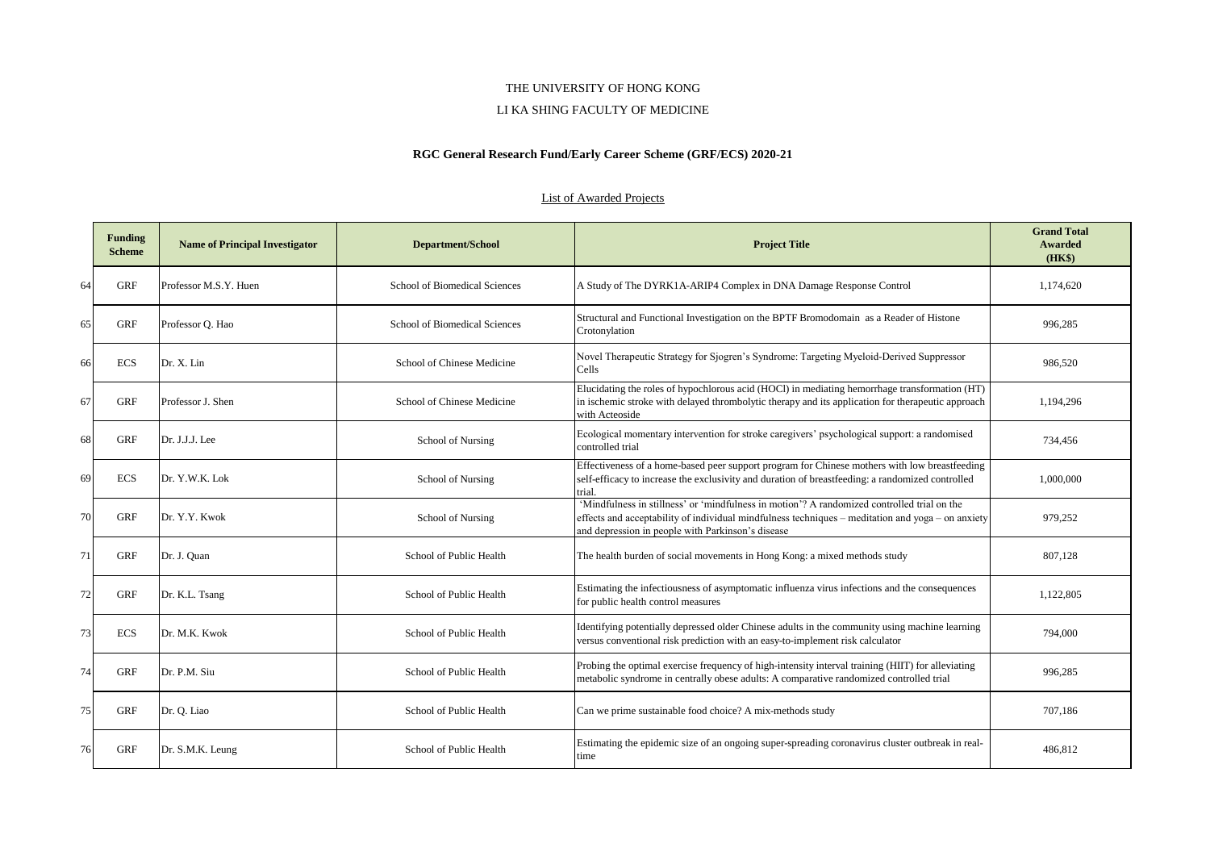#### LI KA SHING FACULTY OF MEDICINE

# **RGC General Research Fund/Early Career Scheme (GRF/ECS) 2020-21**

|    | <b>Funding</b><br><b>Scheme</b> | <b>Name of Principal Investigator</b> | <b>Department/School</b>      | <b>Project Title</b>                                                                                                                                                                                                                                  | <b>Grand Total</b><br>Awarded<br>(HK\$) |
|----|---------------------------------|---------------------------------------|-------------------------------|-------------------------------------------------------------------------------------------------------------------------------------------------------------------------------------------------------------------------------------------------------|-----------------------------------------|
| 64 | <b>GRF</b>                      | Professor M.S.Y. Huen                 | School of Biomedical Sciences | A Study of The DYRK1A-ARIP4 Complex in DNA Damage Response Control                                                                                                                                                                                    | 1.174.620                               |
| 65 | GRF                             | Professor Q. Hao                      | School of Biomedical Sciences | Structural and Functional Investigation on the BPTF Bromodomain as a Reader of Histone<br>Crotonylation                                                                                                                                               | 996,285                                 |
| 66 | <b>ECS</b>                      | Dr. X. Lin                            | School of Chinese Medicine    | Novel Therapeutic Strategy for Sjogren's Syndrome: Targeting Myeloid-Derived Suppressor<br>Cells                                                                                                                                                      | 986,520                                 |
| 67 | <b>GRF</b>                      | Professor J. Shen                     | School of Chinese Medicine    | Elucidating the roles of hypochlorous acid (HOCl) in mediating hemorrhage transformation (HT)<br>in ischemic stroke with delayed thrombolytic therapy and its application for therapeutic approach<br>with Acteoside                                  | 1,194,296                               |
| 68 | <b>GRF</b>                      | Dr. J.J.J. Lee                        | School of Nursing             | Ecological momentary intervention for stroke caregivers' psychological support: a randomised<br>controlled trial                                                                                                                                      | 734,456                                 |
| 69 | <b>ECS</b>                      | Dr. Y.W.K. Lok                        | School of Nursing             | Effectiveness of a home-based peer support program for Chinese mothers with low breastfeeding<br>self-efficacy to increase the exclusivity and duration of breastfeeding: a randomized controlled<br>trial.                                           | 1,000,000                               |
| 70 | GRF                             | Dr. Y.Y. Kwok                         | School of Nursing             | 'Mindfulness in stillness' or 'mindfulness in motion'? A randomized controlled trial on the<br>effects and acceptability of individual mindfulness techniques – meditation and yoga – on anxiety<br>and depression in people with Parkinson's disease | 979,252                                 |
| 71 | GRF                             | Dr. J. Quan                           | School of Public Health       | The health burden of social movements in Hong Kong: a mixed methods study                                                                                                                                                                             | 807,128                                 |
| 72 | GRF                             | Dr. K.L. Tsang                        | School of Public Health       | Estimating the infectiousness of asymptomatic influenza virus infections and the consequences<br>for public health control measures                                                                                                                   | 1,122,805                               |
| 73 | <b>ECS</b>                      | Dr. M.K. Kwok                         | School of Public Health       | Identifying potentially depressed older Chinese adults in the community using machine learning<br>versus conventional risk prediction with an easy-to-implement risk calculator                                                                       | 794,000                                 |
| 74 | <b>GRF</b>                      | Dr. P.M. Siu                          | School of Public Health       | Probing the optimal exercise frequency of high-intensity interval training (HIIT) for alleviating<br>metabolic syndrome in centrally obese adults: A comparative randomized controlled trial                                                          | 996,285                                 |
| 75 | GRF                             | Dr. Q. Liao                           | School of Public Health       | Can we prime sustainable food choice? A mix-methods study                                                                                                                                                                                             | 707,186                                 |
| 76 | GRF                             | Dr. S.M.K. Leung                      | School of Public Health       | Estimating the epidemic size of an ongoing super-spreading coronavirus cluster outbreak in real-<br>time                                                                                                                                              | 486.812                                 |